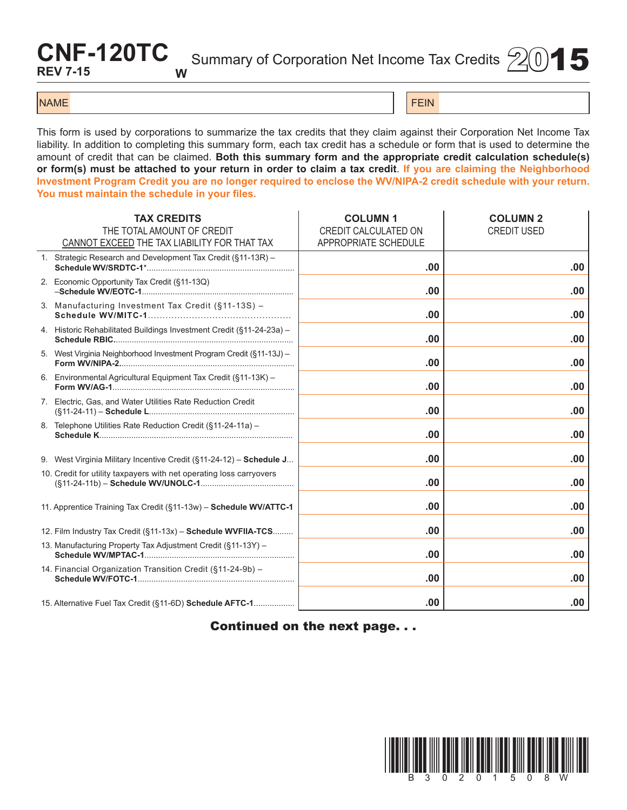## **CNF-120TC REV 7-15 W**

Summary of Corporation Net Income Tax Credits  $\frac{1}{2}(0)$  5

## NAME FEIN AND RESERVE THE SERVE THAT IS A REPORT OF THE SERVE THAT IS A REPORT OF THE SERVE THAT IS A REPORT OF THE SERVE THAT IS A REPORT OF THE SERVE THAT IS A REPORT OF THE SERVE THAT IS A REPORT OF THE SERVE THAT IS A

This form is used by corporations to summarize the tax credits that they claim against their Corporation Net Income Tax liability. In addition to completing this summary form, each tax credit has a schedule or form that is used to determine the amount of credit that can be claimed. **Both this summary form and the appropriate credit calculation schedule(s) or form(s) must be attached to your return in order to claim a tax credit**. **If you are claiming the Neighborhood Investment Program Credit you are no longer required to enclose the WV/NIPA-2 credit schedule with your return. You must maintain the schedule in your files.**

| <b>TAX CREDITS</b><br>THE TOTAL AMOUNT OF CREDIT<br>CANNOT EXCEED THE TAX LIABILITY FOR THAT TAX | <b>COLUMN1</b><br>CREDIT CALCULATED ON<br>APPROPRIATE SCHEDULE | <b>COLUMN 2</b><br><b>CREDIT USED</b> |
|--------------------------------------------------------------------------------------------------|----------------------------------------------------------------|---------------------------------------|
| 1. Strategic Research and Development Tax Credit (§11-13R) -                                     | .00                                                            | .00                                   |
| 2. Economic Opportunity Tax Credit (§11-13Q)                                                     | .00                                                            | .00                                   |
| 3. Manufacturing Investment Tax Credit (§11-13S) -                                               | .00                                                            | .00                                   |
| 4. Historic Rehabilitated Buildings Investment Credit (§11-24-23a) -                             | .00                                                            | .00                                   |
| 5. West Virginia Neighborhood Investment Program Credit (§11-13J) -                              | .00                                                            | .00                                   |
| 6. Environmental Agricultural Equipment Tax Credit (§11-13K) -                                   | .00                                                            | .00                                   |
| 7. Electric, Gas, and Water Utilities Rate Reduction Credit                                      | .00                                                            | .00.                                  |
| 8. Telephone Utilities Rate Reduction Credit (§11-24-11a) -                                      | .00                                                            | .00                                   |
| 9. West Virginia Military Incentive Credit (§11-24-12) - Schedule J                              | .00                                                            | .00                                   |
| 10. Credit for utility taxpayers with net operating loss carryovers                              | .00                                                            | .00                                   |
| 11. Apprentice Training Tax Credit (§11-13w) - Schedule WV/ATTC-1                                | .00                                                            | .00                                   |
| 12. Film Industry Tax Credit (§11-13x) - Schedule WVFIIA-TCS                                     | .00                                                            | .00                                   |
| 13. Manufacturing Property Tax Adjustment Credit (§11-13Y) -                                     | .00                                                            | .00                                   |
| 14. Financial Organization Transition Credit (§11-24-9b) -                                       | .00                                                            | .00                                   |
| 15. Alternative Fuel Tax Credit (§11-6D) Schedule AFTC-1                                         | .00                                                            | .00                                   |

Continued on the next page. . .